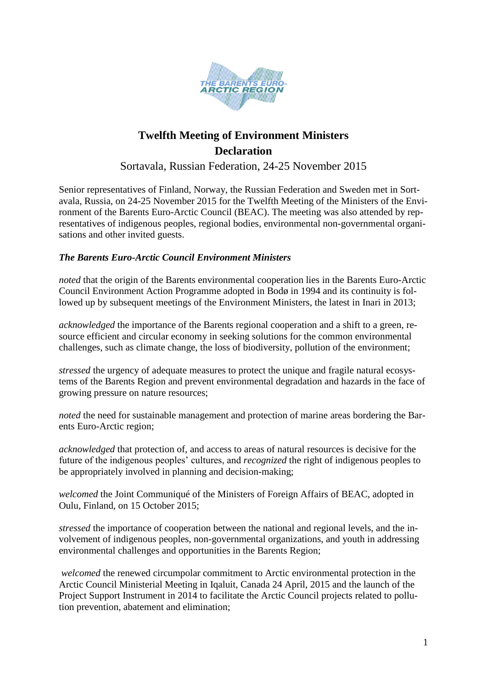

# **Twelfth Meeting of Environment Ministers Declaration**

Sortavala, Russian Federation, 24-25 November 2015

Senior representatives of Finland, Norway, the Russian Federation and Sweden met in Sortavala, Russia, on 24-25 November 2015 for the Twelfth Meeting of the Ministers of the Environment of the Barents Euro-Arctic Council (BEAC). The meeting was also attended by representatives of indigenous peoples, regional bodies, environmental non-governmental organisations and other invited guests.

# *The Barents Euro-Arctic Council Environment Ministers*

*noted* that the origin of the Barents environmental cooperation lies in the Barents Euro-Arctic Council Environment Action Programme adopted in Bodø in 1994 and its continuity is followed up by subsequent meetings of the Environment Ministers, the latest in Inari in 2013;

*acknowledged* the importance of the Barents regional cooperation and a shift to a green, resource efficient and circular economy in seeking solutions for the common environmental challenges, such as climate change, the loss of biodiversity, pollution of the environment;

*stressed* the urgency of adequate measures to protect the unique and fragile natural ecosystems of the Barents Region and prevent environmental degradation and hazards in the face of growing pressure on nature resources;

*noted* the need for sustainable management and protection of marine areas bordering the Barents Euro-Arctic region;

*acknowledged* that protection of, and access to areas of natural resources is decisive for the future of the indigenous peoples' cultures, and *recognized* the right of indigenous peoples to be appropriately involved in planning and decision-making;

*welcomed* the Joint Communiqué of the Ministers of Foreign Affairs of BEAC, adopted in Oulu, Finland, on 15 October 2015;

*stressed* the importance of cooperation between the national and regional levels, and the involvement of indigenous peoples, non-governmental organizations, and youth in addressing environmental challenges and opportunities in the Barents Region;

*welcomed* the renewed circumpolar commitment to Arctic environmental protection in the Arctic Council Ministerial Meeting in Iqaluit, Canada 24 April, 2015 and the launch of the Project Support Instrument in 2014 to facilitate the Arctic Council projects related to pollution prevention, abatement and elimination;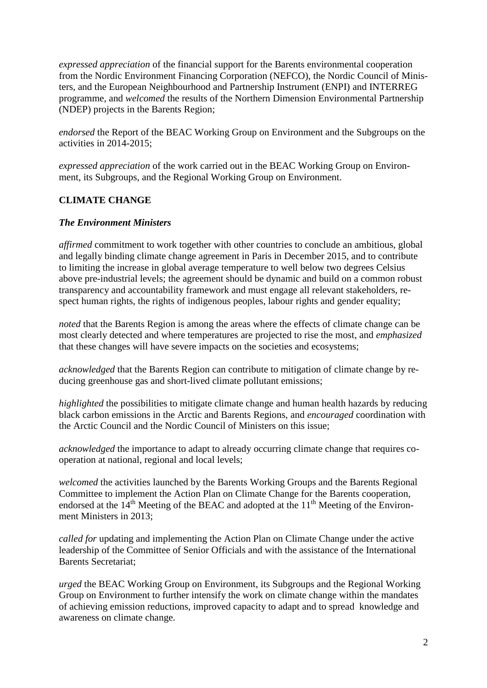*expressed appreciation* of the financial support for the Barents environmental cooperation from the Nordic Environment Financing Corporation (NEFCO), the Nordic Council of Ministers, and the European Neighbourhood and Partnership Instrument (ENPI) and INTERREG programme, and *welcomed* the results of the Northern Dimension Environmental Partnership (NDEP) projects in the Barents Region;

*endorsed* the Report of the BEAC Working Group on Environment and the Subgroups on the activities in 2014-2015;

*expressed appreciation* of the work carried out in the BEAC Working Group on Environment, its Subgroups, and the Regional Working Group on Environment.

# **CLIMATE CHANGE**

# *The Environment Ministers*

*affirmed* commitment to work together with other countries to conclude an ambitious, global and legally binding climate change agreement in Paris in December 2015, and to contribute to limiting the increase in global average temperature to well below two degrees Celsius above pre-industrial levels; the agreement should be dynamic and build on a common robust transparency and accountability framework and must engage all relevant stakeholders, respect human rights, the rights of indigenous peoples, labour rights and gender equality;

*noted* that the Barents Region is among the areas where the effects of climate change can be most clearly detected and where temperatures are projected to rise the most, and *emphasized*  that these changes will have severe impacts on the societies and ecosystems;

*acknowledged* that the Barents Region can contribute to mitigation of climate change by reducing greenhouse gas and short-lived climate pollutant emissions;

*highlighted* the possibilities to mitigate climate change and human health hazards by reducing black carbon emissions in the Arctic and Barents Regions, and *encouraged* coordination with the Arctic Council and the Nordic Council of Ministers on this issue;

*acknowledged* the importance to adapt to already occurring climate change that requires cooperation at national, regional and local levels;

*welcomed* the activities launched by the Barents Working Groups and the Barents Regional Committee to implement the Action Plan on Climate Change for the Barents cooperation, endorsed at the 14<sup>th</sup> Meeting of the BEAC and adopted at the 11<sup>th</sup> Meeting of the Environment Ministers in 2013;

*called for* updating and implementing the Action Plan on Climate Change under the active leadership of the Committee of Senior Officials and with the assistance of the International Barents Secretariat;

*urged* the BEAC Working Group on Environment, its Subgroups and the Regional Working Group on Environment to further intensify the work on climate change within the mandates of achieving emission reductions, improved capacity to adapt and to spread knowledge and awareness on climate change.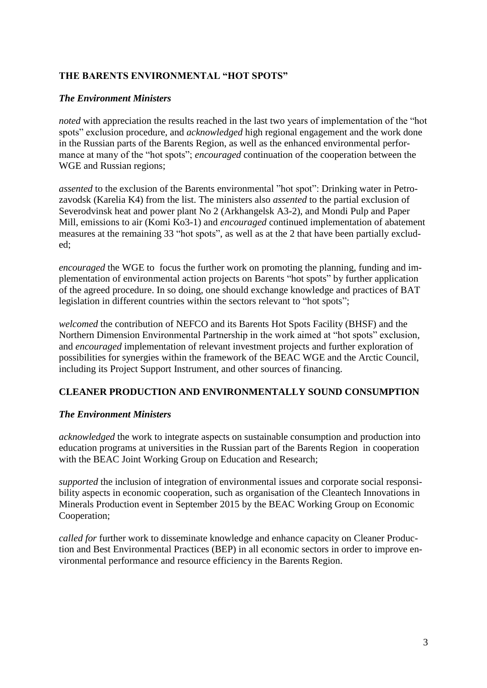# **THE BARENTS ENVIRONMENTAL "HOT SPOTS"**

#### *The Environment Ministers*

*noted* with appreciation the results reached in the last two years of implementation of the "hot spots" exclusion procedure, and *acknowledged* high regional engagement and the work done in the Russian parts of the Barents Region, as well as the enhanced environmental performance at many of the "hot spots"; *encouraged* continuation of the cooperation between the WGE and Russian regions;

*assented* to the exclusion of the Barents environmental "hot spot": Drinking water in Petrozavodsk (Karelia K4) from the list. The ministers also *assented* to the partial exclusion of Severodvinsk heat and power plant No 2 (Arkhangelsk A3-2), and Mondi Pulp and Paper Mill, emissions to air (Komi Ko3-1) and *encouraged* continued implementation of abatement measures at the remaining 33 "hot spots", as well as at the 2 that have been partially excluded;

*encouraged* the WGE to focus the further work on promoting the planning, funding and implementation of environmental action projects on Barents "hot spots" by further application of the agreed procedure. In so doing, one should exchange knowledge and practices of BAT legislation in different countries within the sectors relevant to "hot spots";

*welcomed* the contribution of NEFCO and its Barents Hot Spots Facility (BHSF) and the Northern Dimension Environmental Partnership in the work aimed at "hot spots" exclusion*,* and *encouraged* implementation of relevant investment projects and further exploration of possibilities for synergies within the framework of the BEAC WGE and the Arctic Council, including its Project Support Instrument, and other sources of financing.

#### **CLEANER PRODUCTION AND ENVIRONMENTALLY SOUND CONSUMPTION**

# *The Environment Ministers*

*acknowledged* the work to integrate aspects on sustainable consumption and production into education programs at universities in the Russian part of the Barents Region in cooperation with the BEAC Joint Working Group on Education and Research;

*supported* the inclusion of integration of environmental issues and corporate social responsibility aspects in economic cooperation, such as organisation of the Cleantech Innovations in Minerals Production event in September 2015 by the BEAC Working Group on Economic Cooperation;

*called for* further work to disseminate knowledge and enhance capacity on Cleaner Production and Best Environmental Practices (BEP) in all economic sectors in order to improve environmental performance and resource efficiency in the Barents Region.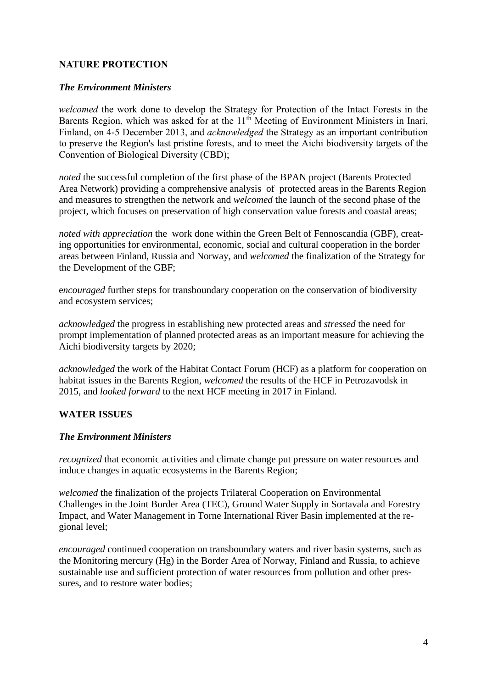# **NATURE PROTECTION**

#### *The Environment Ministers*

*welcomed* the work done to develop the Strategy for Protection of the Intact Forests in the Barents Region, which was asked for at the 11<sup>th</sup> Meeting of Environment Ministers in Inari, Finland, on 4-5 December 2013, and *acknowledged* the Strategy as an important contribution to preserve the Region's last pristine forests, and to meet the Aichi biodiversity targets of the Convention of Biological Diversity (CBD);

*noted* the successful completion of the first phase of the BPAN project (Barents Protected Area Network) providing a comprehensive analysis of protected areas in the Barents Region and measures to strengthen the network and *welcomed* the launch of the second phase of the project, which focuses on preservation of high conservation value forests and coastal areas;

*noted with appreciation* the work done within the Green Belt of Fennoscandia (GBF), creating opportunities for environmental, economic, social and cultural cooperation in the border areas between Finland, Russia and Norway, and *welcomed* the finalization of the Strategy for the Development of the GBF;

e*ncouraged* further steps for transboundary cooperation on the conservation of biodiversity and ecosystem services;

*acknowledged* the progress in establishing new protected areas and *stressed* the need for prompt implementation of planned protected areas as an important measure for achieving the Aichi biodiversity targets by 2020;

*acknowledged* the work of the Habitat Contact Forum (HCF) as a platform for cooperation on habitat issues in the Barents Region, *welcomed* the results of the HCF in Petrozavodsk in 2015, and *looked forward* to the next HCF meeting in 2017 in Finland.

# **WATER ISSUES**

#### *The Environment Ministers*

*recognized* that economic activities and climate change put pressure on water resources and induce changes in aquatic ecosystems in the Barents Region;

*welcomed* the finalization of the projects Trilateral Cooperation on Environmental Challenges in the Joint Border Area (TEC), Ground Water Supply in Sortavala and Forestry Impact, and Water Management in Torne International River Basin implemented at the regional level;

*encouraged* continued cooperation on transboundary waters and river basin systems, such as the Monitoring mercury (Hg) in the Border Area of Norway, Finland and Russia, to achieve sustainable use and sufficient protection of water resources from pollution and other pressures, and to restore water bodies;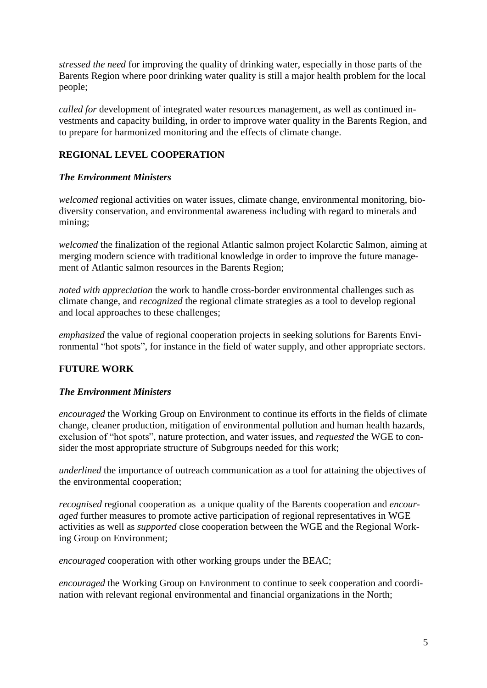*stressed the need* for improving the quality of drinking water, especially in those parts of the Barents Region where poor drinking water quality is still a major health problem for the local people;

*called for* development of integrated water resources management, as well as continued investments and capacity building, in order to improve water quality in the Barents Region, and to prepare for harmonized monitoring and the effects of climate change.

# **REGIONAL LEVEL COOPERATION**

# *The Environment Ministers*

*welcomed* regional activities on water issues, climate change, environmental monitoring, biodiversity conservation, and environmental awareness including with regard to minerals and mining;

*welcomed* the finalization of the regional Atlantic salmon project Kolarctic Salmon, aiming at merging modern science with traditional knowledge in order to improve the future management of Atlantic salmon resources in the Barents Region;

*noted with appreciation* the work to handle cross-border environmental challenges such as climate change, and *recognized* the regional climate strategies as a tool to develop regional and local approaches to these challenges;

*emphasized* the value of regional cooperation projects in seeking solutions for Barents Environmental "hot spots", for instance in the field of water supply, and other appropriate sectors.

# **FUTURE WORK**

# *The Environment Ministers*

*encouraged* the Working Group on Environment to continue its efforts in the fields of climate change, cleaner production, mitigation of environmental pollution and human health hazards, exclusion of "hot spots", nature protection, and water issues, and *requested* the WGE to consider the most appropriate structure of Subgroups needed for this work;

*underlined* the importance of outreach communication as a tool for attaining the objectives of the environmental cooperation;

*recognised* regional cooperation as a unique quality of the Barents cooperation and *encouraged* further measures to promote active participation of regional representatives in WGE activities as well as *supported* close cooperation between the WGE and the Regional Working Group on Environment;

*encouraged* cooperation with other working groups under the BEAC;

*encouraged* the Working Group on Environment to continue to seek cooperation and coordination with relevant regional environmental and financial organizations in the North;